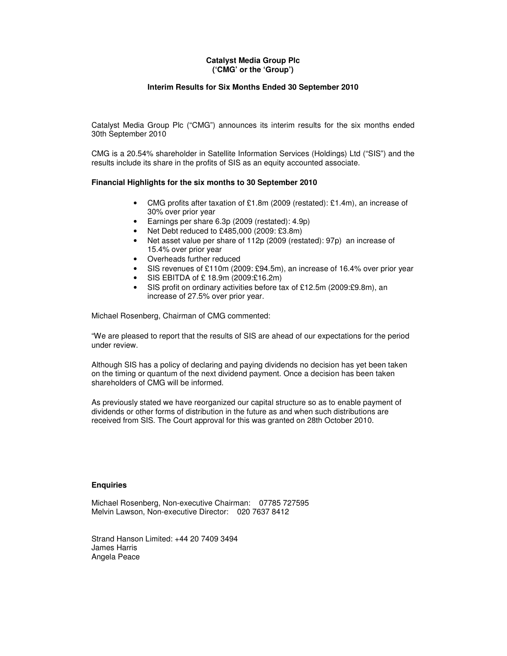### **Catalyst Media Group Plc ('CMG' or the 'Group')**

### **Interim Results for Six Months Ended 30 September 2010**

Catalyst Media Group Plc ("CMG") announces its interim results for the six months ended 30th September 2010

CMG is a 20.54% shareholder in Satellite Information Services (Holdings) Ltd ("SIS") and the results include its share in the profits of SIS as an equity accounted associate.

## **Financial Highlights for the six months to 30 September 2010**

- CMG profits after taxation of £1.8m (2009 (restated): £1.4m), an increase of 30% over prior year
- Earnings per share 6.3p (2009 (restated): 4.9p)
- Net Debt reduced to £485,000 (2009: £3.8m)
- Net asset value per share of 112p (2009 (restated): 97p) an increase of 15.4% over prior year
- Overheads further reduced
- SIS revenues of £110m (2009: £94.5m), an increase of 16.4% over prior year
- SIS EBITDA of £ 18.9m (2009:£16.2m)
- SIS profit on ordinary activities before tax of £12.5m (2009:£9.8m), an increase of 27.5% over prior year.

Michael Rosenberg, Chairman of CMG commented:

"We are pleased to report that the results of SIS are ahead of our expectations for the period under review.

Although SIS has a policy of declaring and paying dividends no decision has yet been taken on the timing or quantum of the next dividend payment. Once a decision has been taken shareholders of CMG will be informed.

As previously stated we have reorganized our capital structure so as to enable payment of dividends or other forms of distribution in the future as and when such distributions are received from SIS. The Court approval for this was granted on 28th October 2010.

#### **Enquiries**

Michael Rosenberg, Non-executive Chairman: 07785 727595 Melvin Lawson, Non-executive Director: 020 7637 8412

Strand Hanson Limited: +44 20 7409 3494 James Harris Angela Peace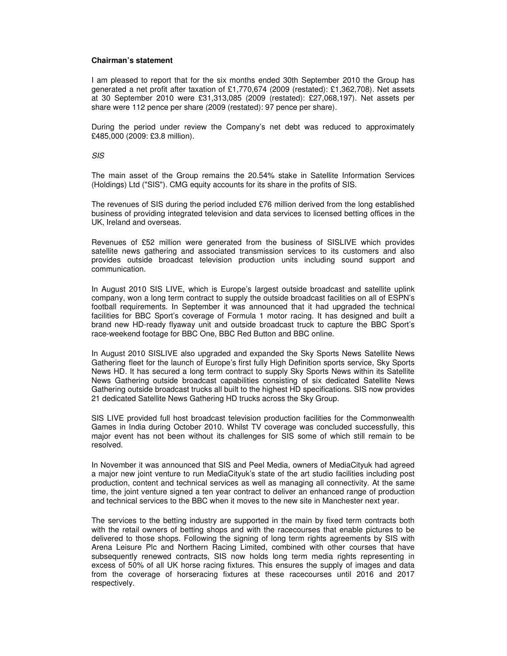#### **Chairman's statement**

I am pleased to report that for the six months ended 30th September 2010 the Group has generated a net profit after taxation of £1,770,674 (2009 (restated): £1,362,708). Net assets at 30 September 2010 were £31,313,085 (2009 (restated): £27,068,197). Net assets per share were 112 pence per share (2009 (restated): 97 pence per share).

During the period under review the Company's net debt was reduced to approximately £485,000 (2009: £3.8 million).

SIS

The main asset of the Group remains the 20.54% stake in Satellite Information Services (Holdings) Ltd ("SIS"). CMG equity accounts for its share in the profits of SIS.

The revenues of SIS during the period included £76 million derived from the long established business of providing integrated television and data services to licensed betting offices in the UK, Ireland and overseas.

Revenues of £52 million were generated from the business of SISLIVE which provides satellite news gathering and associated transmission services to its customers and also provides outside broadcast television production units including sound support and communication.

In August 2010 SIS LIVE, which is Europe's largest outside broadcast and satellite uplink company, won a long term contract to supply the outside broadcast facilities on all of ESPN's football requirements. In September it was announced that it had upgraded the technical facilities for BBC Sport's coverage of Formula 1 motor racing. It has designed and built a brand new HD-ready flyaway unit and outside broadcast truck to capture the BBC Sport's race-weekend footage for BBC One, BBC Red Button and BBC online.

In August 2010 SISLIVE also upgraded and expanded the Sky Sports News Satellite News Gathering fleet for the launch of Europe's first fully High Definition sports service, Sky Sports News HD. It has secured a long term contract to supply Sky Sports News within its Satellite News Gathering outside broadcast capabilities consisting of six dedicated Satellite News Gathering outside broadcast trucks all built to the highest HD specifications. SIS now provides 21 dedicated Satellite News Gathering HD trucks across the Sky Group.

SIS LIVE provided full host broadcast television production facilities for the Commonwealth Games in India during October 2010. Whilst TV coverage was concluded successfully, this major event has not been without its challenges for SIS some of which still remain to be resolved.

In November it was announced that SIS and Peel Media, owners of MediaCityuk had agreed a major new joint venture to run MediaCityuk's state of the art studio facilities including post production, content and technical services as well as managing all connectivity. At the same time, the joint venture signed a ten year contract to deliver an enhanced range of production and technical services to the BBC when it moves to the new site in Manchester next year.

The services to the betting industry are supported in the main by fixed term contracts both with the retail owners of betting shops and with the racecourses that enable pictures to be delivered to those shops. Following the signing of long term rights agreements by SIS with Arena Leisure Plc and Northern Racing Limited, combined with other courses that have subsequently renewed contracts, SIS now holds long term media rights representing in excess of 50% of all UK horse racing fixtures. This ensures the supply of images and data from the coverage of horseracing fixtures at these racecourses until 2016 and 2017 respectively.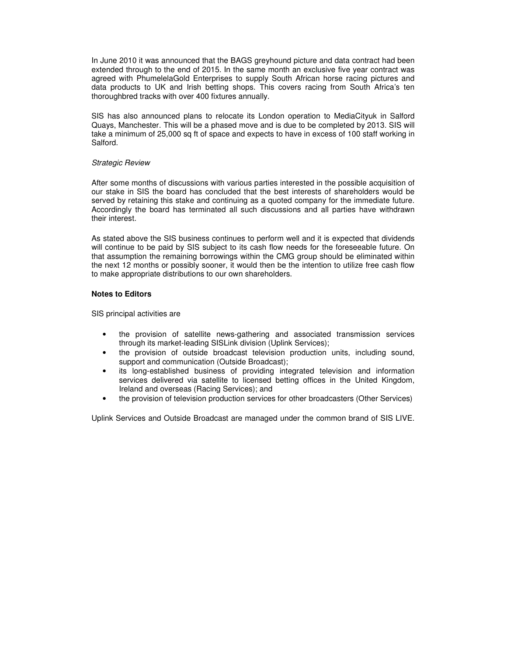In June 2010 it was announced that the BAGS greyhound picture and data contract had been extended through to the end of 2015. In the same month an exclusive five year contract was agreed with PhumelelaGold Enterprises to supply South African horse racing pictures and data products to UK and Irish betting shops. This covers racing from South Africa's ten thoroughbred tracks with over 400 fixtures annually.

SIS has also announced plans to relocate its London operation to MediaCityuk in Salford Quays, Manchester. This will be a phased move and is due to be completed by 2013. SIS will take a minimum of 25,000 sq ft of space and expects to have in excess of 100 staff working in Salford.

#### Strategic Review

After some months of discussions with various parties interested in the possible acquisition of our stake in SIS the board has concluded that the best interests of shareholders would be served by retaining this stake and continuing as a quoted company for the immediate future. Accordingly the board has terminated all such discussions and all parties have withdrawn their interest.

As stated above the SIS business continues to perform well and it is expected that dividends will continue to be paid by SIS subject to its cash flow needs for the foreseeable future. On that assumption the remaining borrowings within the CMG group should be eliminated within the next 12 months or possibly sooner, it would then be the intention to utilize free cash flow to make appropriate distributions to our own shareholders.

#### **Notes to Editors**

SIS principal activities are

- the provision of satellite news-gathering and associated transmission services through its market-leading SISLink division (Uplink Services);
- the provision of outside broadcast television production units, including sound, support and communication (Outside Broadcast);
- its long-established business of providing integrated television and information services delivered via satellite to licensed betting offices in the United Kingdom, Ireland and overseas (Racing Services); and
- the provision of television production services for other broadcasters (Other Services)

Uplink Services and Outside Broadcast are managed under the common brand of SIS LIVE.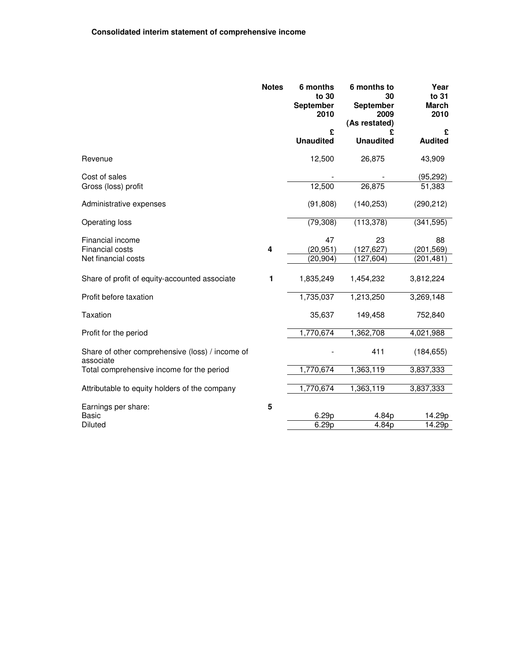|                                                              | <b>Notes</b> | 6 months<br>to 30<br><b>September</b><br>2010 | 6 months to<br>30<br>September<br>2009<br>(As restated) | Year<br>to 31<br><b>March</b><br>2010 |
|--------------------------------------------------------------|--------------|-----------------------------------------------|---------------------------------------------------------|---------------------------------------|
|                                                              |              | £<br><b>Unaudited</b>                         | <b>Unaudited</b>                                        | £<br><b>Audited</b>                   |
| Revenue                                                      |              | 12,500                                        | 26,875                                                  | 43,909                                |
| Cost of sales                                                |              |                                               |                                                         | (95, 292)                             |
| Gross (loss) profit                                          |              | 12,500                                        | 26,875                                                  | 51,383                                |
| Administrative expenses                                      |              | (91, 808)                                     | (140, 253)                                              | (290, 212)                            |
| Operating loss                                               |              | (79, 308)                                     | (113, 378)                                              | (341, 595)                            |
| Financial income                                             |              | 47                                            | 23                                                      | 88                                    |
| Financial costs                                              | 4            | (20, 951)                                     | (127, 627)                                              | (201, 569)                            |
| Net financial costs                                          |              | (20, 904)                                     | (127, 604)                                              | (201, 481)                            |
| Share of profit of equity-accounted associate                | 1            | 1,835,249                                     | 1,454,232                                               | 3,812,224                             |
| Profit before taxation                                       |              | 1,735,037                                     | 1,213,250                                               | 3,269,148                             |
| <b>Taxation</b>                                              |              | 35,637                                        | 149,458                                                 | 752,840                               |
| Profit for the period                                        |              | 1,770,674                                     | 1,362,708                                               | 4,021,988                             |
| Share of other comprehensive (loss) / income of<br>associate |              |                                               | 411                                                     | (184, 655)                            |
| Total comprehensive income for the period                    |              | 1,770,674                                     | 1,363,119                                               | 3,837,333                             |
| Attributable to equity holders of the company                |              | 1,770,674                                     | 1,363,119                                               | 3,837,333                             |
| Earnings per share:                                          | 5            |                                               |                                                         |                                       |
| <b>Basic</b>                                                 |              | 6.29p                                         | 4.84p                                                   | 14.29p                                |
| <b>Diluted</b>                                               |              | 6.29p                                         | $\overline{4.84}p$                                      | $\overline{14.29p}$                   |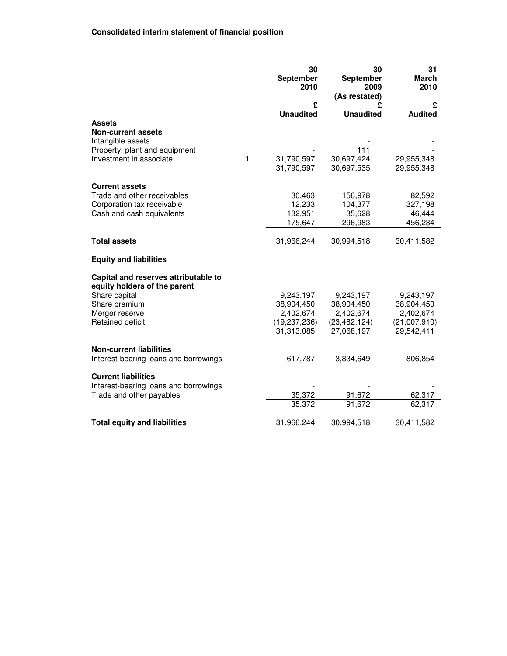|                                                                      |   | 30<br>September<br>2010 | 30<br>September<br>2009<br>(As restated) | 31<br>March<br>2010 |
|----------------------------------------------------------------------|---|-------------------------|------------------------------------------|---------------------|
|                                                                      |   | £                       | £                                        | £                   |
|                                                                      |   | <b>Unaudited</b>        | <b>Unaudited</b>                         | <b>Audited</b>      |
| <b>Assets</b><br><b>Non-current assets</b><br>Intangible assets      |   |                         |                                          |                     |
| Property, plant and equipment                                        |   |                         | 111                                      |                     |
| Investment in associate                                              | 1 | 31,790,597              | 30,697,424                               | 29,955,348          |
|                                                                      |   | 31,790,597              | 30,697,535                               | 29,955,348          |
| <b>Current assets</b>                                                |   |                         |                                          |                     |
| Trade and other receivables                                          |   | 30,463                  | 156,978                                  | 82,592              |
| Corporation tax receivable                                           |   | 12,233                  | 104,377                                  | 327,198             |
| Cash and cash equivalents                                            |   | 132,951                 | 35,628                                   | 46,444              |
|                                                                      |   | 175,647                 | 296,983                                  | 456,234             |
| <b>Total assets</b>                                                  |   | 31,966,244              | 30,994,518                               | 30,411,582          |
| <b>Equity and liabilities</b>                                        |   |                         |                                          |                     |
| Capital and reserves attributable to<br>equity holders of the parent |   |                         |                                          |                     |
| Share capital                                                        |   | 9,243,197               | 9,243,197                                | 9,243,197           |
| Share premium                                                        |   | 38,904,450              | 38,904,450                               | 38,904,450          |
| Merger reserve                                                       |   | 2,402,674               | 2,402,674                                | 2,402,674           |
| Retained deficit                                                     |   | (19,237,236)            | (23, 482, 124)                           | (21,007,910)        |
|                                                                      |   | 31,313,085              | 27,068,197                               | 29,542,411          |
| <b>Non-current liabilities</b>                                       |   |                         |                                          |                     |
| Interest-bearing loans and borrowings                                |   | 617,787                 | 3,834,649                                | 806,854             |
| <b>Current liabilities</b><br>Interest-bearing loans and borrowings  |   |                         |                                          |                     |
| Trade and other payables                                             |   | 35,372                  | 91,672                                   | 62,317              |
|                                                                      |   | 35,372                  | 91,672                                   | 62,317              |
| <b>Total equity and liabilities</b>                                  |   | 31,966,244              | 30,994,518                               | 30,411,582          |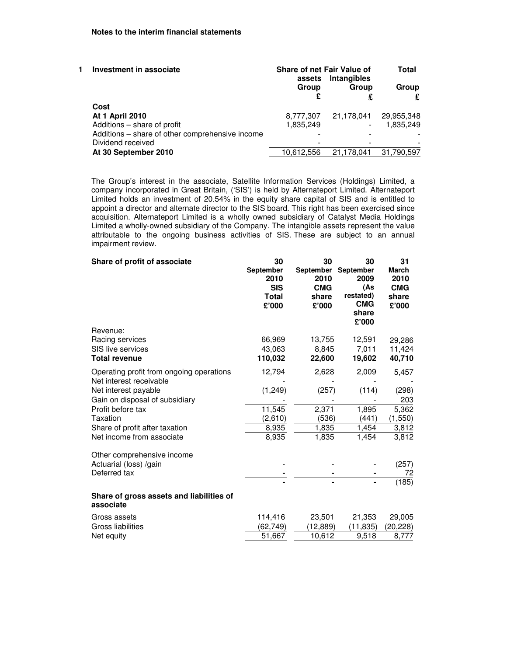| Investment in associate |                                                 | <b>Share of net Fair Value of</b><br>assets | Intangibles              | Total      |
|-------------------------|-------------------------------------------------|---------------------------------------------|--------------------------|------------|
|                         |                                                 | Group                                       | Group                    | Group      |
|                         | Cost                                            |                                             |                          |            |
|                         | <b>At 1 April 2010</b>                          | 8,777,307                                   | 21.178.041               | 29,955,348 |
|                         | Additions - share of profit                     | 1,835,249                                   | $\overline{\phantom{a}}$ | 1.835.249  |
|                         | Additions - share of other comprehensive income |                                             |                          |            |
|                         | Dividend received                               |                                             |                          |            |
|                         | At 30 September 2010                            | 10,612,556                                  | 21,178,041               | 31,790,597 |
|                         |                                                 |                                             |                          |            |

The Group's interest in the associate, Satellite Information Services (Holdings) Limited, a company incorporated in Great Britain, ('SIS') is held by Alternateport Limited. Alternateport Limited holds an investment of 20.54% in the equity share capital of SIS and is entitled to appoint a director and alternate director to the SIS board. This right has been exercised since acquisition. Alternateport Limited is a wholly owned subsidiary of Catalyst Media Holdings Limited a wholly-owned subsidiary of the Company. The intangible assets represent the value attributable to the ongoing business activities of SIS. These are subject to an annual impairment review.

| Share of profit of associate                          | 30<br><b>September</b><br>2010<br><b>SIS</b><br><b>Total</b><br>£'000 | 30<br><b>September</b><br>2010<br><b>CMG</b><br>share<br>£'000 | 30<br>September<br>2009<br>(As<br>restated)<br><b>CMG</b><br>share<br>£'000 | 31<br>March<br>2010<br><b>CMG</b><br>share<br>£'000 |
|-------------------------------------------------------|-----------------------------------------------------------------------|----------------------------------------------------------------|-----------------------------------------------------------------------------|-----------------------------------------------------|
| Revenue:                                              |                                                                       |                                                                |                                                                             |                                                     |
| Racing services                                       | 66,969                                                                | 13,755                                                         | 12,591                                                                      | 29,286                                              |
| SIS live services                                     | 43,063                                                                | 8,845                                                          | 7,011                                                                       | 11,424                                              |
| <b>Total revenue</b>                                  | 110,032                                                               | 22,600                                                         | 19,602                                                                      | 40,710                                              |
| Operating profit from ongoing operations              | 12,794                                                                | 2,628                                                          | 2,009                                                                       | 5,457                                               |
| Net interest receivable<br>Net interest payable       | (1, 249)                                                              | (257)                                                          | (114)                                                                       | (298)                                               |
| Gain on disposal of subsidiary                        |                                                                       |                                                                |                                                                             | 203                                                 |
| Profit before tax                                     | 11,545                                                                | 2,371                                                          | 1,895                                                                       | 5,362                                               |
| Taxation                                              | (2,610)                                                               | (536)                                                          | (441)                                                                       | (1,550)                                             |
| Share of profit after taxation                        | 8,935                                                                 | 1,835                                                          | 1,454                                                                       | 3,812                                               |
| Net income from associate                             | 8,935                                                                 | 1,835                                                          | 1,454                                                                       | 3,812                                               |
| Other comprehensive income                            |                                                                       |                                                                |                                                                             |                                                     |
| Actuarial (loss) /gain                                |                                                                       |                                                                |                                                                             | (257)                                               |
| Deferred tax                                          |                                                                       |                                                                |                                                                             | 72                                                  |
|                                                       |                                                                       |                                                                |                                                                             | (185)                                               |
| Share of gross assets and liabilities of<br>associate |                                                                       |                                                                |                                                                             |                                                     |
| Gross assets                                          | 114,416                                                               | 23,501                                                         | 21,353                                                                      | 29,005                                              |
| Gross liabilities                                     | (62,749)                                                              | (12,889)                                                       | (11,835)                                                                    | (20, 228)                                           |
| Net equity                                            | 51,667                                                                | 10,612                                                         | 9,518                                                                       | 8,777                                               |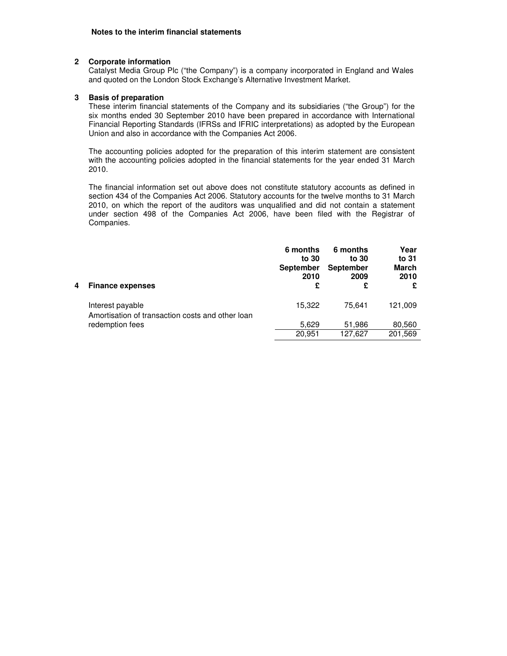#### **2 Corporate information**

Catalyst Media Group Plc ("the Company") is a company incorporated in England and Wales and quoted on the London Stock Exchange's Alternative Investment Market.

### **3 Basis of preparation**

 These interim financial statements of the Company and its subsidiaries ("the Group") for the six months ended 30 September 2010 have been prepared in accordance with International Financial Reporting Standards (IFRSs and IFRIC interpretations) as adopted by the European Union and also in accordance with the Companies Act 2006.

The accounting policies adopted for the preparation of this interim statement are consistent with the accounting policies adopted in the financial statements for the year ended 31 March 2010.

The financial information set out above does not constitute statutory accounts as defined in section 434 of the Companies Act 2006. Statutory accounts for the twelve months to 31 March 2010, on which the report of the auditors was unqualified and did not contain a statement under section 498 of the Companies Act 2006, have been filed with the Registrar of Companies.

| 4 | <b>Finance expenses</b>                                              | 6 months<br>to 30<br><b>September</b><br>2010<br>£ | 6 months<br>to 30<br><b>September</b><br>2009<br>£ | Year<br>to 31<br><b>March</b><br>2010<br>£ |
|---|----------------------------------------------------------------------|----------------------------------------------------|----------------------------------------------------|--------------------------------------------|
|   | Interest payable<br>Amortisation of transaction costs and other loan | 15,322                                             | 75.641                                             | 121.009                                    |
|   | redemption fees                                                      | 5,629                                              | 51,986                                             | 80,560                                     |
|   |                                                                      | 20,951                                             | 127,627                                            | 201,569                                    |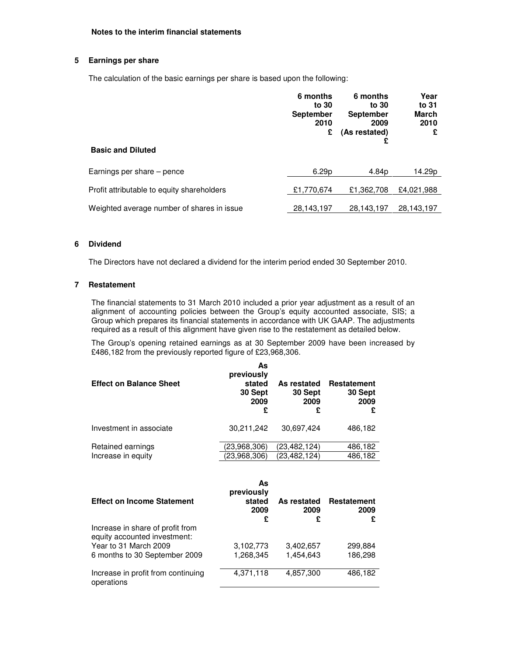## **5 Earnings per share**

The calculation of the basic earnings per share is based upon the following:

|                                            | 6 months<br>to 30<br><b>September</b><br>2010<br>£ | 6 months<br>to 30<br><b>September</b><br>2009<br>(As restated)<br>£ | Year<br>to 31<br>March<br>2010<br>£ |
|--------------------------------------------|----------------------------------------------------|---------------------------------------------------------------------|-------------------------------------|
| <b>Basic and Diluted</b>                   |                                                    |                                                                     |                                     |
| Earnings per share – pence                 | 6.29 <sub>p</sub>                                  | 4.84p                                                               | 14.29p                              |
| Profit attributable to equity shareholders | £1,770,674                                         | £1,362,708                                                          | £4,021,988                          |
| Weighted average number of shares in issue | 28,143,197                                         | 28,143,197                                                          | 28,143,197                          |

#### **6 Dividend**

The Directors have not declared a dividend for the interim period ended 30 September 2010.

#### **7 Restatement**

The financial statements to 31 March 2010 included a prior year adjustment as a result of an alignment of accounting policies between the Group's equity accounted associate, SIS; a Group which prepares its financial statements in accordance with UK GAAP. The adjustments required as a result of this alignment have given rise to the restatement as detailed below.

The Group's opening retained earnings as at 30 September 2009 have been increased by £486,182 from the previously reported figure of £23,968,306.

| <b>Effect on Balance Sheet</b> | As<br>previously<br>stated<br>30 Sept<br>2009<br>£ | As restated<br>30 Sept<br>2009<br>£ | Restatement<br>30 Sept<br>2009 |
|--------------------------------|----------------------------------------------------|-------------------------------------|--------------------------------|
| Investment in associate        | 30,211,242                                         | 30,697,424                          | 486,182                        |
| Retained earnings              | (23,968,306)                                       | (23,482,124)                        | 486,182                        |
| Increase in equity             | (23,968,306)                                       | (23,482,124)                        | 486,182                        |

| <b>Effect on Income Statement</b>                                | As<br>previously<br>stated<br>2009<br>£ | As restated<br>2009<br>£ | <b>Restatement</b><br>2009<br>£ |
|------------------------------------------------------------------|-----------------------------------------|--------------------------|---------------------------------|
| Increase in share of profit from<br>equity accounted investment: |                                         |                          |                                 |
| Year to 31 March 2009                                            | 3,102,773                               | 3,402,657                | 299,884                         |
| 6 months to 30 September 2009                                    | 1,268,345                               | 1,454,643                | 186,298                         |
| Increase in profit from continuing<br>operations                 | 4,371,118                               | 4,857,300                | 486,182                         |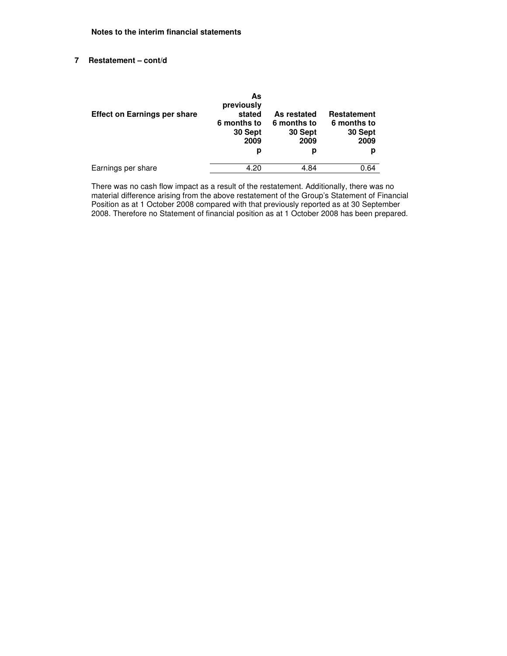# **7 Restatement – cont/d**

| <b>Effect on Earnings per share</b> | As<br>previously<br>stated<br>6 months to<br>30 Sept<br>2009<br>р | As restated<br>6 months to<br>30 Sept<br>2009<br>р | <b>Restatement</b><br>6 months to<br>30 Sept<br>2009<br>р |
|-------------------------------------|-------------------------------------------------------------------|----------------------------------------------------|-----------------------------------------------------------|
| Earnings per share                  | 4.20                                                              | 4.84                                               | 0.64                                                      |

There was no cash flow impact as a result of the restatement. Additionally, there was no material difference arising from the above restatement of the Group's Statement of Financial Position as at 1 October 2008 compared with that previously reported as at 30 September 2008. Therefore no Statement of financial position as at 1 October 2008 has been prepared.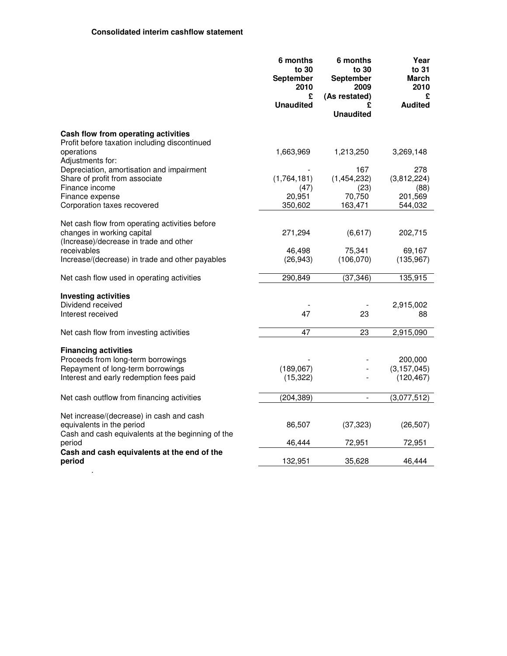.

|                                                                                                                                                   | 6 months<br>to 30<br>September<br>2010<br>£ | 6 months<br>to 30<br>September<br>2009<br>(As restated) | Year<br>to 31<br>March<br>2010<br>£    |
|---------------------------------------------------------------------------------------------------------------------------------------------------|---------------------------------------------|---------------------------------------------------------|----------------------------------------|
|                                                                                                                                                   | <b>Unaudited</b>                            | £<br><b>Unaudited</b>                                   | <b>Audited</b>                         |
| Cash flow from operating activities<br>Profit before taxation including discontinued                                                              |                                             |                                                         |                                        |
| operations<br>Adjustments for:                                                                                                                    | 1,663,969                                   | 1,213,250                                               | 3,269,148                              |
| Depreciation, amortisation and impairment<br>Share of profit from associate<br>Finance income                                                     | (1,764,181)<br>(47)                         | 167<br>(1,454,232)<br>(23)                              | 278<br>(3,812,224)<br>(88)             |
| Finance expense<br>Corporation taxes recovered                                                                                                    | 20,951<br>350,602                           | 70,750<br>163,471                                       | 201,569<br>544,032                     |
| Net cash flow from operating activities before<br>changes in working capital                                                                      | 271,294                                     | (6, 617)                                                | 202,715                                |
| (Increase)/decrease in trade and other<br>receivables<br>Increase/(decrease) in trade and other payables                                          | 46,498<br>(26, 943)                         | 75,341<br>(106, 070)                                    | 69,167<br>(135, 967)                   |
| Net cash flow used in operating activities                                                                                                        | 290,849                                     | (37, 346)                                               | 135,915                                |
| <b>Investing activities</b>                                                                                                                       |                                             |                                                         |                                        |
| Dividend received<br>Interest received                                                                                                            | 47                                          | 23                                                      | 2,915,002<br>88                        |
| Net cash flow from investing activities                                                                                                           | 47                                          | 23                                                      | 2,915,090                              |
| <b>Financing activities</b><br>Proceeds from long-term borrowings<br>Repayment of long-term borrowings<br>Interest and early redemption fees paid | (189,067)<br>(15, 322)                      |                                                         | 200,000<br>(3, 157, 045)<br>(120, 467) |
| Net cash outflow from financing activities                                                                                                        | (204, 389)                                  | $\blacksquare$                                          | (3,077,512)                            |
| Net increase/(decrease) in cash and cash<br>equivalents in the period<br>Cash and cash equivalents at the beginning of the                        | 86,507                                      | (37, 323)                                               | (26, 507)                              |
| period                                                                                                                                            | 46,444                                      | 72,951                                                  | 72,951                                 |
| Cash and cash equivalents at the end of the<br>period                                                                                             | 132,951                                     | 35,628                                                  | 46,444                                 |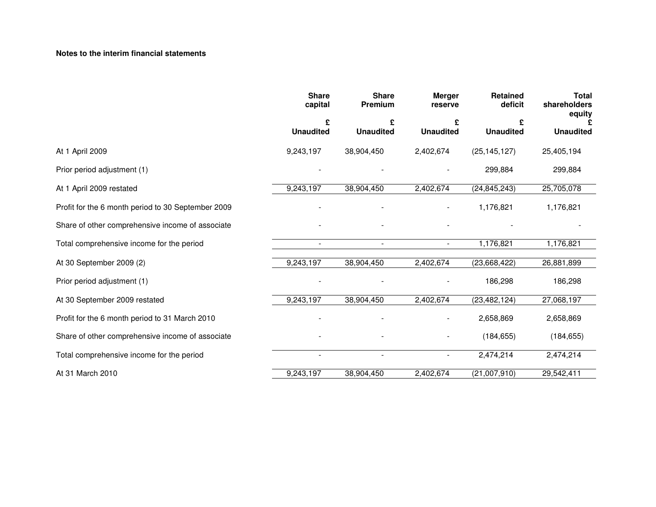# **Notes to the interim financial statements**

|                                                    | <b>Share</b><br>capital | <b>Share</b><br>Premium | <b>Merger</b><br>reserve | Retained<br>deficit | <b>Total</b><br>shareholders<br>equity |
|----------------------------------------------------|-------------------------|-------------------------|--------------------------|---------------------|----------------------------------------|
|                                                    | £                       | £                       | £                        |                     |                                        |
|                                                    | <b>Unaudited</b>        | <b>Unaudited</b>        | <b>Unaudited</b>         | <b>Unaudited</b>    | <b>Unaudited</b>                       |
| At 1 April 2009                                    | 9,243,197               | 38,904,450              | 2,402,674                | (25, 145, 127)      | 25,405,194                             |
| Prior period adjustment (1)                        |                         |                         |                          | 299,884             | 299,884                                |
| At 1 April 2009 restated                           | 9,243,197               | 38,904,450              | 2,402,674                | (24, 845, 243)      | 25,705,078                             |
| Profit for the 6 month period to 30 September 2009 |                         |                         |                          | 1,176,821           | 1,176,821                              |
| Share of other comprehensive income of associate   |                         |                         |                          |                     |                                        |
| Total comprehensive income for the period          |                         | $\blacksquare$          | $\blacksquare$           | 1,176,821           | 1,176,821                              |
| At 30 September 2009 (2)                           | 9,243,197               | 38,904,450              | 2,402,674                | (23,668,422)        | 26,881,899                             |
| Prior period adjustment (1)                        |                         |                         |                          | 186,298             | 186,298                                |
| At 30 September 2009 restated                      | 9,243,197               | 38,904,450              | 2,402,674                | (23, 482, 124)      | 27,068,197                             |
| Profit for the 6 month period to 31 March 2010     |                         |                         |                          | 2,658,869           | 2,658,869                              |
| Share of other comprehensive income of associate   |                         |                         |                          | (184, 655)          | (184, 655)                             |
| Total comprehensive income for the period          | $\sim$                  | $\sim$                  | $\blacksquare$           | 2,474,214           | 2,474,214                              |
| At 31 March 2010                                   | 9,243,197               | 38,904,450              | 2,402,674                | (21,007,910)        | 29,542,411                             |